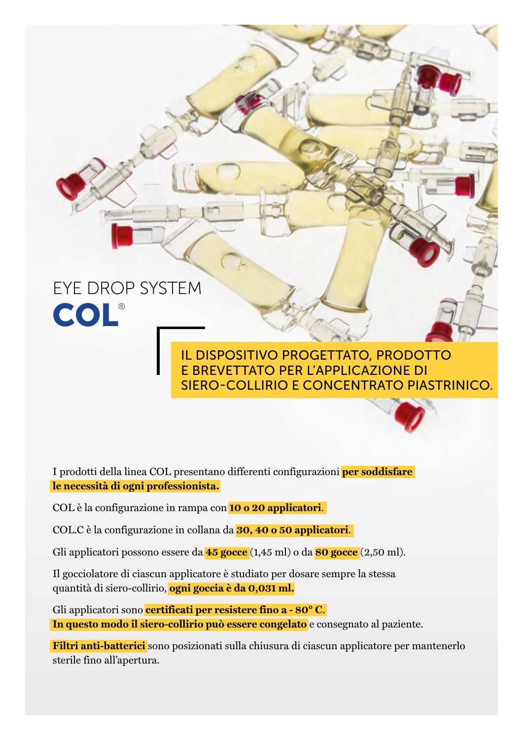# EYE DROP SYSTEM COL®

### IL DISPOSITIVO PROGETTATO, PRODOTTO E BREVETTATO PER L'APPLICAZIONE DI SIERO-COLLIRIO E CONCENTRATO PIASTRINICO.

I prodotti della linea COL presentano differenti configurazioni **per soddisfare le necessità di ogni professionista.**

COL è la configurazione in rampa con **10 o 20 applicatori**.

COL.C è la configurazione in collana da **30, 40 o 50 applicatori**.

Gli applicatori possono essere da **45 gocce** (1,45 ml) o da **80 gocce** (2,50 ml).

Il gocciolatore di ciascun applicatore è studiato per dosare sempre la stessa quantità di siero-collirio, **ogni goccia è da 0,031 ml.**

Gli applicatori sono **certificati per resistere fino a - 80° C**. **In questo modo il siero-collirio può essere congelato** e consegnato al paziente.

**Filtri anti-batterici** sono posizionati sulla chiusura di ciascun applicatore per mantenerlo sterile fino all'apertura.